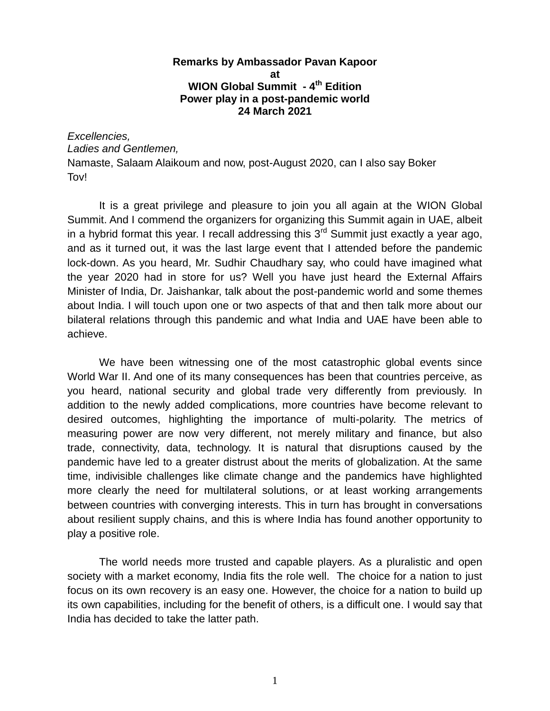## **Remarks by Ambassador Pavan Kapoor at WION Global Summit - 4 th Edition Power play in a post-pandemic world 24 March 2021**

## *Excellencies, Ladies and Gentlemen,*

Namaste, Salaam Alaikoum and now, post-August 2020, can I also say Boker Tov!

It is a great privilege and pleasure to join you all again at the WION Global Summit. And I commend the organizers for organizing this Summit again in UAE, albeit in a hybrid format this year. I recall addressing this  $3<sup>rd</sup>$  Summit just exactly a year ago, and as it turned out, it was the last large event that I attended before the pandemic lock-down. As you heard, Mr. Sudhir Chaudhary say, who could have imagined what the year 2020 had in store for us? Well you have just heard the External Affairs Minister of India, Dr. Jaishankar, talk about the post-pandemic world and some themes about India. I will touch upon one or two aspects of that and then talk more about our bilateral relations through this pandemic and what India and UAE have been able to achieve.

We have been witnessing one of the most catastrophic global events since World War II. And one of its many consequences has been that countries perceive, as you heard, national security and global trade very differently from previously. In addition to the newly added complications, more countries have become relevant to desired outcomes, highlighting the importance of multi-polarity. The metrics of measuring power are now very different, not merely military and finance, but also trade, connectivity, data, technology. It is natural that disruptions caused by the pandemic have led to a greater distrust about the merits of globalization. At the same time, indivisible challenges like climate change and the pandemics have highlighted more clearly the need for multilateral solutions, or at least working arrangements between countries with converging interests. This in turn has brought in conversations about resilient supply chains, and this is where India has found another opportunity to play a positive role.

The world needs more trusted and capable players. As a pluralistic and open society with a market economy, India fits the role well. The choice for a nation to just focus on its own recovery is an easy one. However, the choice for a nation to build up its own capabilities, including for the benefit of others, is a difficult one. I would say that India has decided to take the latter path.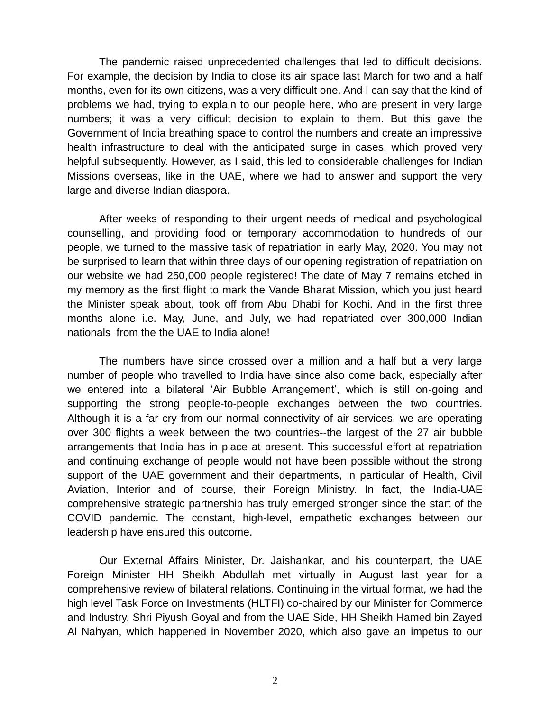The pandemic raised unprecedented challenges that led to difficult decisions. For example, the decision by India to close its air space last March for two and a half months, even for its own citizens, was a very difficult one. And I can say that the kind of problems we had, trying to explain to our people here, who are present in very large numbers; it was a very difficult decision to explain to them. But this gave the Government of India breathing space to control the numbers and create an impressive health infrastructure to deal with the anticipated surge in cases, which proved very helpful subsequently. However, as I said, this led to considerable challenges for Indian Missions overseas, like in the UAE, where we had to answer and support the very large and diverse Indian diaspora.

After weeks of responding to their urgent needs of medical and psychological counselling, and providing food or temporary accommodation to hundreds of our people, we turned to the massive task of repatriation in early May, 2020. You may not be surprised to learn that within three days of our opening registration of repatriation on our website we had 250,000 people registered! The date of May 7 remains etched in my memory as the first flight to mark the Vande Bharat Mission, which you just heard the Minister speak about, took off from Abu Dhabi for Kochi. And in the first three months alone i.e. May, June, and July, we had repatriated over 300,000 Indian nationals from the the UAE to India alone!

The numbers have since crossed over a million and a half but a very large number of people who travelled to India have since also come back, especially after we entered into a bilateral 'Air Bubble Arrangement', which is still on-going and supporting the strong people-to-people exchanges between the two countries. Although it is a far cry from our normal connectivity of air services, we are operating over 300 flights a week between the two countries--the largest of the 27 air bubble arrangements that India has in place at present. This successful effort at repatriation and continuing exchange of people would not have been possible without the strong support of the UAE government and their departments, in particular of Health, Civil Aviation, Interior and of course, their Foreign Ministry. In fact, the India-UAE comprehensive strategic partnership has truly emerged stronger since the start of the COVID pandemic. The constant, high-level, empathetic exchanges between our leadership have ensured this outcome.

Our External Affairs Minister, Dr. Jaishankar, and his counterpart, the UAE Foreign Minister HH Sheikh Abdullah met virtually in August last year for a comprehensive review of bilateral relations. Continuing in the virtual format, we had the high level Task Force on Investments (HLTFI) co-chaired by our Minister for Commerce and Industry, Shri Piyush Goyal and from the UAE Side, HH Sheikh Hamed bin Zayed Al Nahyan, which happened in November 2020, which also gave an impetus to our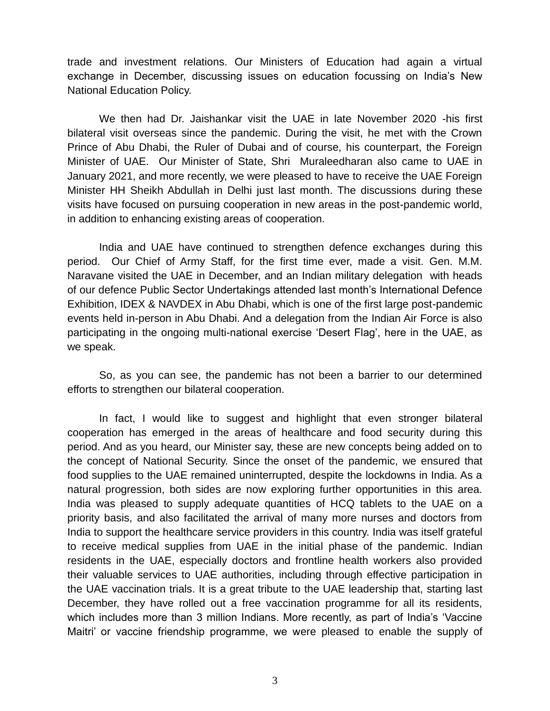trade and investment relations. Our Ministers of Education had again a virtual exchange in December, discussing issues on education focussing on India's New National Education Policy.

We then had Dr. Jaishankar visit the UAE in late November 2020 -his first bilateral visit overseas since the pandemic. During the visit, he met with the Crown Prince of Abu Dhabi, the Ruler of Dubai and of course, his counterpart, the Foreign Minister of UAE. Our Minister of State, Shri Muraleedharan also came to UAE in January 2021, and more recently, we were pleased to have to receive the UAE Foreign Minister HH Sheikh Abdullah in Delhi just last month. The discussions during these visits have focused on pursuing cooperation in new areas in the post-pandemic world, in addition to enhancing existing areas of cooperation.

India and UAE have continued to strengthen defence exchanges during this period. Our Chief of Army Staff, for the first time ever, made a visit. Gen. M.M. Naravane visited the UAE in December, and an Indian military delegation with heads of our defence Public Sector Undertakings attended last month's International Defence Exhibition, IDEX & NAVDEX in Abu Dhabi, which is one of the first large post-pandemic events held in-person in Abu Dhabi. And a delegation from the Indian Air Force is also participating in the ongoing multi-national exercise 'Desert Flag', here in the UAE, as we speak.

So, as you can see, the pandemic has not been a barrier to our determined efforts to strengthen our bilateral cooperation.

In fact, I would like to suggest and highlight that even stronger bilateral cooperation has emerged in the areas of healthcare and food security during this period. And as you heard, our Minister say, these are new concepts being added on to the concept of National Security. Since the onset of the pandemic, we ensured that food supplies to the UAE remained uninterrupted, despite the lockdowns in India. As a natural progression, both sides are now exploring further opportunities in this area. India was pleased to supply adequate quantities of HCQ tablets to the UAE on a priority basis, and also facilitated the arrival of many more nurses and doctors from India to support the healthcare service providers in this country. India was itself grateful to receive medical supplies from UAE in the initial phase of the pandemic. Indian residents in the UAE, especially doctors and frontline health workers also provided their valuable services to UAE authorities, including through effective participation in the UAE vaccination trials. It is a great tribute to the UAE leadership that, starting last December, they have rolled out a free vaccination programme for all its residents, which includes more than 3 million Indians. More recently, as part of India's 'Vaccine Maitri' or vaccine friendship programme, we were pleased to enable the supply of